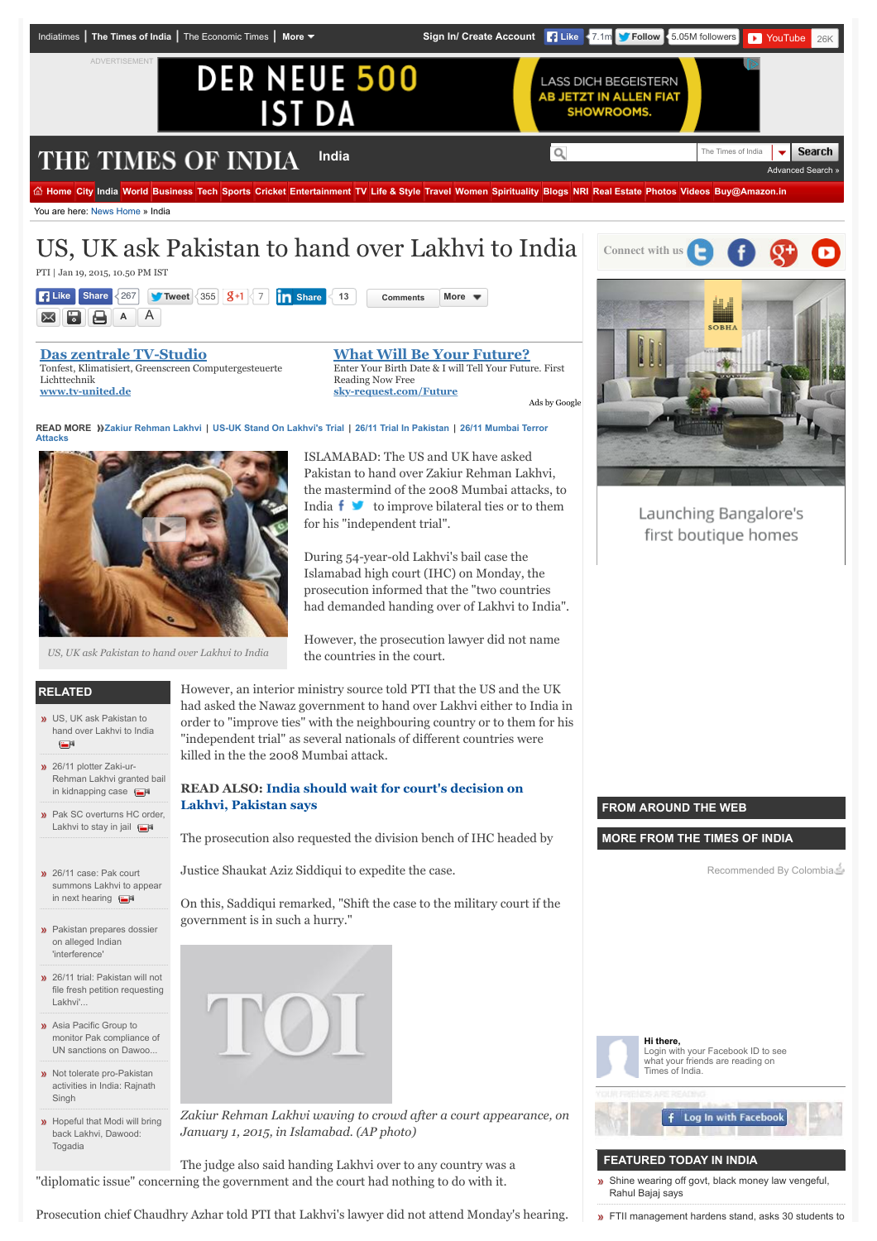

Prosecution chief Chaudhry Azhar told PTI that Lakhvi's lawyer did not attend Monday's hearing.

**»** [FTII management hardens stand, asks 30 students to](http://timesofindia.indiatimes.com/india/FTII-management-hardens-stand-asks-30-students-to-vacate-hostel-rooms/articleshow/48394036.cms)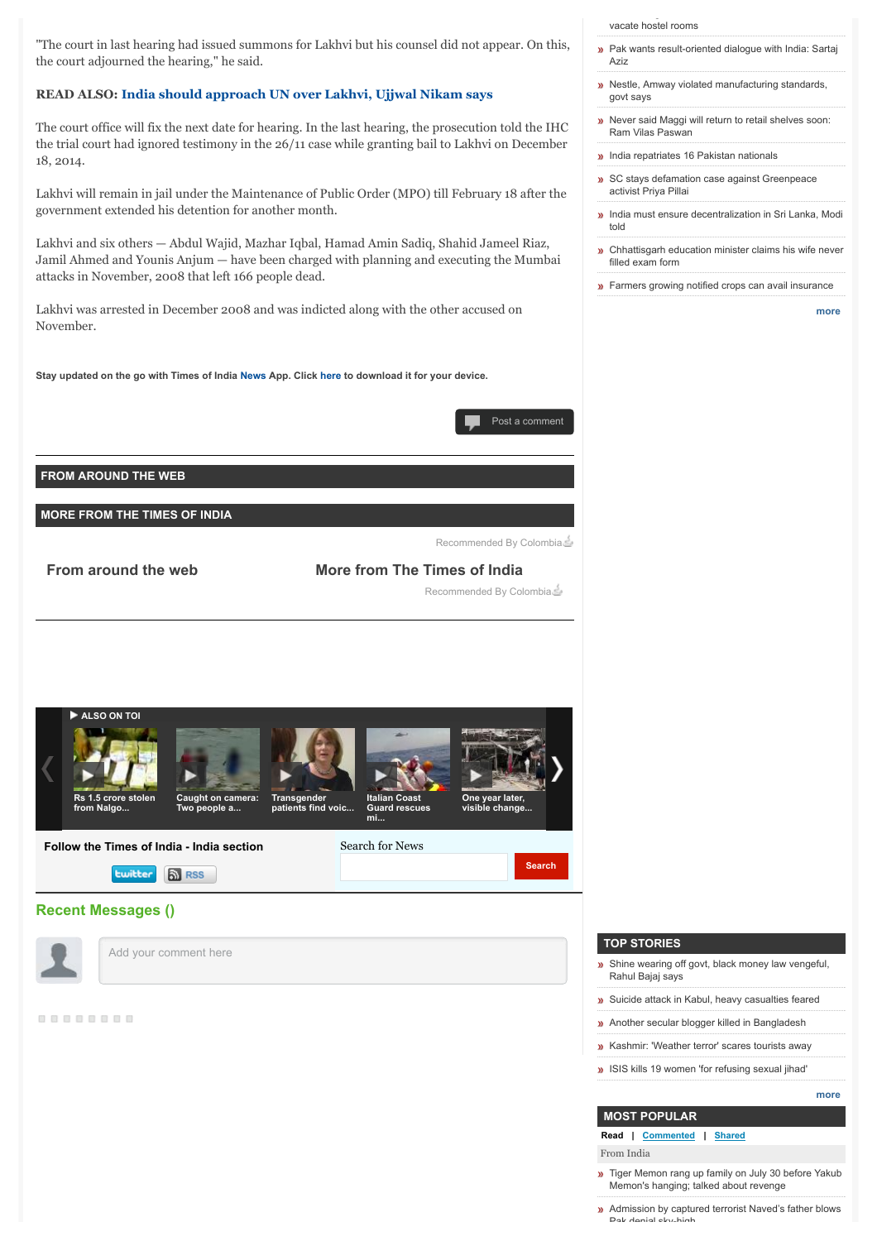"The court in last hearing had issued summons for Lakhvi but his counsel did not appear. On this, the court adjourned the hearing," he said.

# **READ ALSO: [India should approach UN over Lakhvi, Ujjwal Nikam says](http://timesofindia.indiatimes.com/india/India-should-approach-UN-over-Lakhvi-Nikam/articleshow/45680966.cms)**

The court office will fix the next date for hearing. In the last hearing, the prosecution told the IHC the trial court had ignored testimony in the 26/11 case while granting bail to Lakhvi on December 18, 2014.

Lakhvi will remain in jail under the Maintenance of Public Order (MPO) till February 18 after the government extended his detention for another month.

Lakhvi and six others — Abdul Wajid, Mazhar Iqbal, Hamad Amin Sadiq, Shahid Jameel Riaz, Jamil Ahmed and Younis Anjum — have been charged with planning and executing the Mumbai attacks in November, 2008 that left 166 people dead.

Lakhvi was arrested in December 2008 and was indicted along with the other accused on November.

**Stay updated on the go with Times of India [News](https://play.google.com/store/apps/details?id=com.toi.reader.activities) App. Click [here](http://timesofindia.indiatimes.com/mobileapplist/7404562.cms?utm_source=articleshow_bottom&utm_medium=showpage&utm_campaign=articleshow) to download it for your device.**



**FROM AROUND THE WEB**

**MORE FROM THE TIMES OF INDIA**

Recommended By Colombia

**From around the web More from The Times of India**

Recommended By Colombia



### **Recent Messages ()**

Add your comment here

.........

[vacate hostel rooms](http://timesofindia.indiatimes.com/india/FTII-management-hardens-stand-asks-30-students-to-vacate-hostel-rooms/articleshow/48394036.cms)

**»** [Pak wants result-oriented dialogue with India: Sartaj](http://timesofindia.indiatimes.com/india/Pak-wants-result-oriented-dialogue-with-India-Sartaj-Aziz/articleshow/48393890.cms) Aziz

FTI management hardens stand, as the stand, as  $\frac{1}{2}$  stand, as  $\frac{1}{2}$ 

- » [Nestle, Amway violated manufacturing standards,](http://timesofindia.indiatimes.com/india/Nestle-Amway-violated-manufacturing-standards-govt-says/articleshow/48393587.cms) govt says
- **»** [Never said Maggi will return to retail shelves soon:](http://timesofindia.indiatimes.com/india/Never-said-Maggi-will-return-to-retail-shelves-soon-Ram-Vilas-Paswan/articleshow/48393438.cms) Ram Vilas Paswan
- **[India repatriates 16 Pakistan nationals](http://timesofindia.indiatimes.com/india/India-repatriates-16-Pakistan-nationals/articleshow/48393372.cms)**
- » [SC stays defamation case against Greenpeace](http://timesofindia.indiatimes.com/india/SC-stays-defamation-case-against-Greenpeace-activist-Priya-Pillai/articleshow/48393138.cms) activist Priya Pillai
- **»** [India must ensure decentralization in Sri Lanka, Modi](http://timesofindia.indiatimes.com/india/India-must-ensure-decentralization-in-Sri-Lanka-Modi-told/articleshow/48393109.cms) told
- **»** [Chhattisgarh education minister claims his wife never](http://timesofindia.indiatimes.com/india/Chhattisgarh-education-minister-claims-his-wife-never-filled-exam-form/articleshow/48393088.cms) filled exam form
- **»** [Farmers growing notified crops can avail insurance](http://timesofindia.indiatimes.com/india/Farmers-growing-notified-crops-can-avail-insurance/articleshow/48393056.cms)

**[more](http://timesofindia.indiatimes.com/india/indiaarticlelist/-2128936835.cms)**

### **TOP STORIES**

[Shine wearing off govt, black money law vengeful,](http://timesofindia.indiatimes.com/india/Shine-wearing-off-govt-black-money-law-vengeful-Rahul-Bajaj-says/articleshow/48395739.cms)  $\mathbf{w}$ Rahul Bajaj says

**»** [Suicide attack in Kabul, heavy casualties feared](http://timesofindia.indiatimes.com/world/south-asia/Suicide-blast-hits-Kabul-police-academy-heavy-casualties-feared/articleshow/48396557.cms)

- **»** [Another secular blogger killed in Bangladesh](http://timesofindia.indiatimes.com/world/south-asia/Another-secular-blogger-hacked-to-death-in-Bangladesh-fourth-this-year/articleshow/48394398.cms)
- **»** [Kashmir: 'Weather terror' scares tourists away](http://timesofindia.indiatimes.com/india/Weather-terror-scares-tourists-away-from-Kashmir/articleshow/48392219.cms)
- » [ISIS kills 19 women 'for refusing sexual jihad'](http://timesofindia.indiatimes.com/world/middle-east/ISIS-executes-19-women-in-Mosul-for-refusing-to-take-part-in-sexual-jihad/articleshow/48391996.cms)

### **[more](http://timesofindia.indiatimes.com/headlines/4772028.cms)**

## **MOST POPULAR**

**Read | Commented | Shared**

From India

- **»** [Tiger Memon rang up family on July 30 before Yakub](http://timesofindia.indiatimes.com/india/Tiger-Memon-rang-up-family-on-July-30-before-Yakub-Memons-hanging-talked-about-revenge/articleshow/48386826.cms) Memon's hanging; talked about revenge
- **[Admission by captured terrorist Naved's father blows](http://timesofindia.indiatimes.com/india/Admission-by-captured-terrorist-Naveds-father-blows-Pak-denial-sky-high/articleshow/48383853.cms)** Pak denial sky-high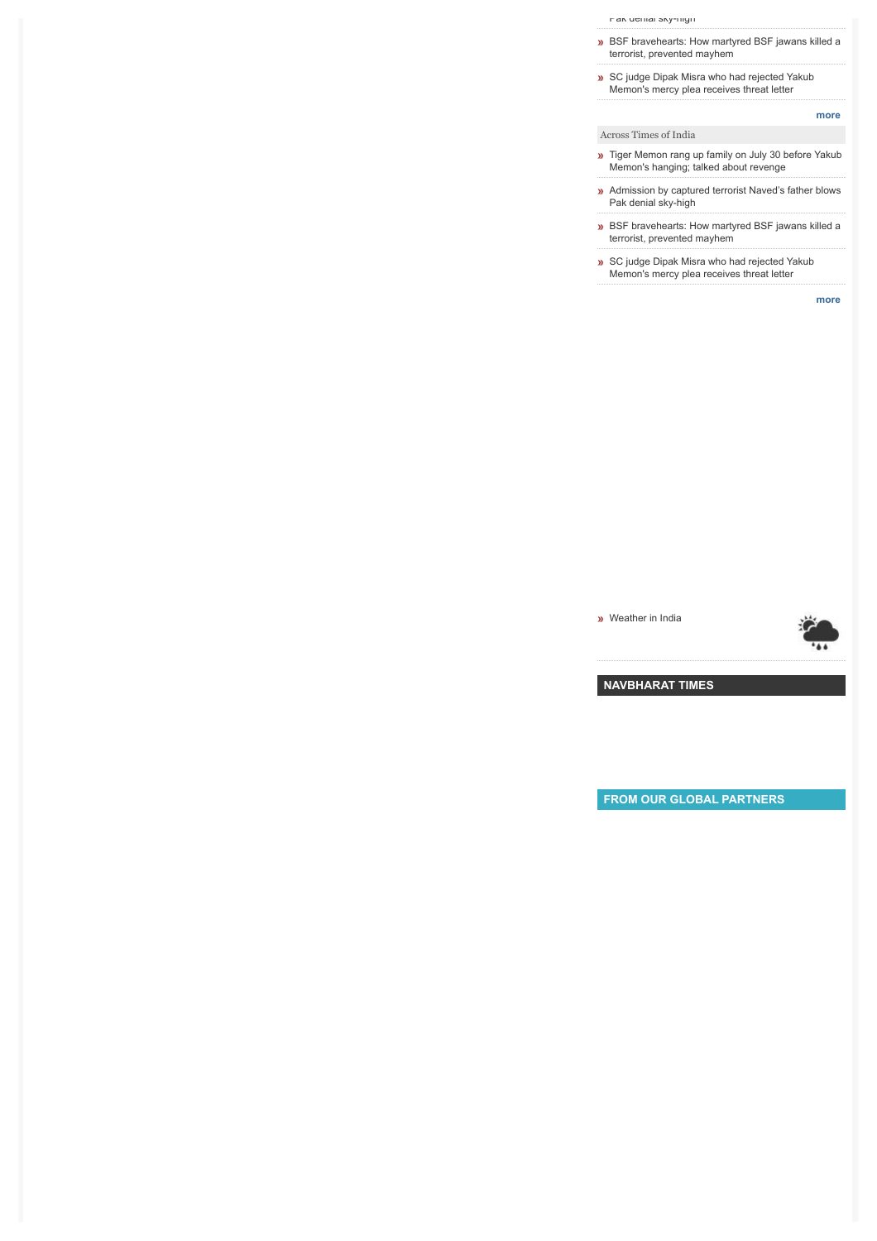[Pak denial sky-high](http://timesofindia.indiatimes.com/india/Admission-by-captured-terrorist-Naveds-father-blows-Pak-denial-sky-high/articleshow/48383853.cms)

- **»** [BSF bravehearts: How martyred BSF jawans killed a](http://timesofindia.indiatimes.com/india/BSF-bravehearts-How-martyred-BSF-jawans-killed-a-terrorist-prevented-mayhem/articleshow/48371781.cms) terrorist, prevented mayhem
- » [SC judge Dipak Misra who had rejected Yakub](http://timesofindia.indiatimes.com/india/SC-judge-Dipak-Misra-who-had-rejected-Yakub-Memons-mercy-plea-receives-threat-letter/articleshow/48385428.cms) Memon's mercy plea receives threat letter

- Across Times of India [Tiger Memon rang up family on July 30 before Yakub](http://timesofindia.indiatimes.com/india/Tiger-Memon-rang-up-family-on-July-30-before-Yakub-Memons-hanging-talked-about-revenge/articleshow/48386826.cms)
- Memon's hanging; talked about revenge
- **»** [Admission by captured terrorist Naved's father blows](http://timesofindia.indiatimes.com/india/Admission-by-captured-terrorist-Naveds-father-blows-Pak-denial-sky-high/articleshow/48383853.cms) Pak denial sky-high
- » [BSF bravehearts: How martyred BSF jawans killed a](http://timesofindia.indiatimes.com/india/BSF-bravehearts-How-martyred-BSF-jawans-killed-a-terrorist-prevented-mayhem/articleshow/48371781.cms) terrorist, prevented mayhem
- [SC judge Dipak Misra who had rejected Yakub](http://timesofindia.indiatimes.com/india/SC-judge-Dipak-Misra-who-had-rejected-Yakub-Memons-mercy-plea-receives-threat-letter/articleshow/48385428.cms) Memon's mercy plea receives threat letter

**[more](http://timesofindia.indiatimes.com/mostread.cms)**

**[more](http://timesofindia.indiatimes.com/mostread/msid--2128936835.cms)**

**w** [Weather in India](http://www.happytrips.com/weather?utm_source=ArticleWidget&utm_medium=referral&utm_campaign=TOILinkbacks)



**[NAVBHARAT TIMES](http://navbharattimes.indiatimes.com/?utm_source=TOInewHP_TILwidget&utm_medium=ABtest&utm_campaign=TOInewHP)**

**FROM OUR GLOBAL PARTNERS**